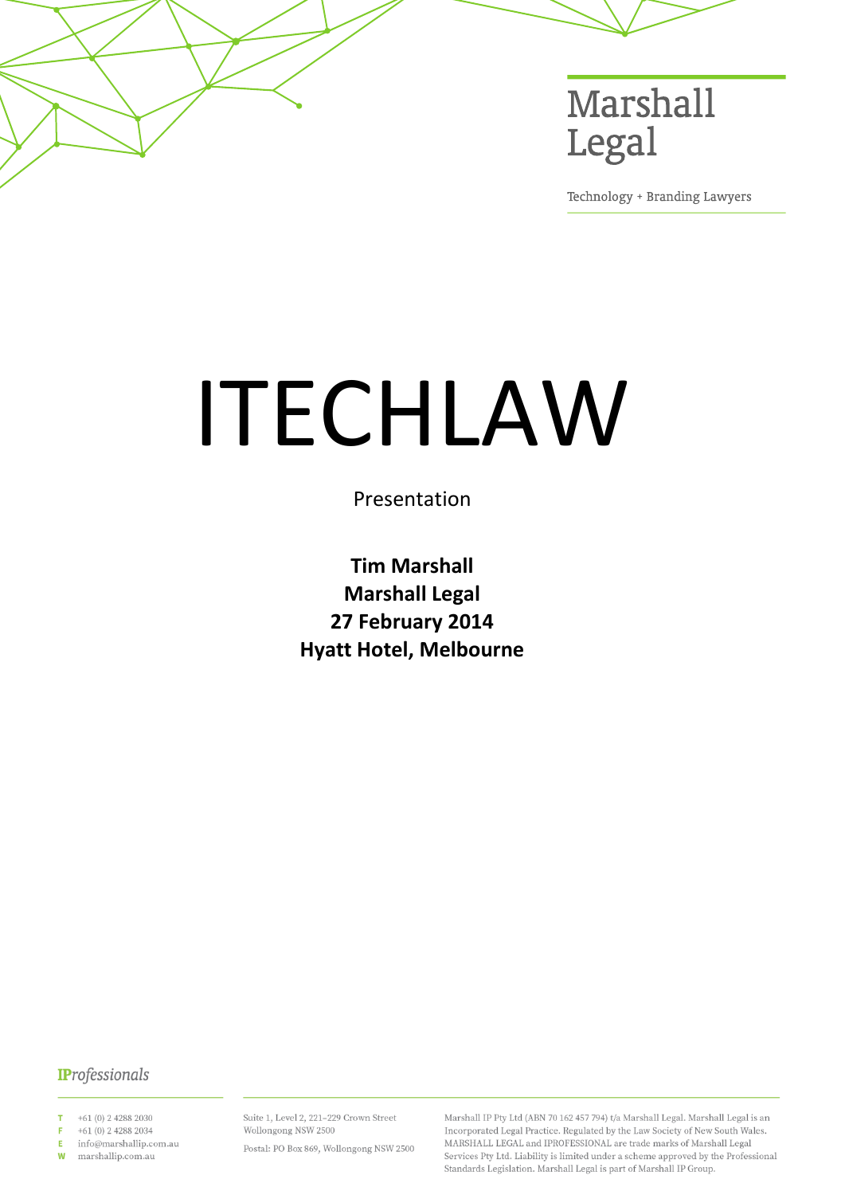

Technology + Branding Lawyers

# ITECHLAW

Presentation

**Tim Marshall Marshall Legal 27 February 2014 Hyatt Hotel, Melbourne**

# **IProfessionals**

+61 (0) 2 4288 2030

+61 (0) 2 4288 2034 F

info@marshallip.com.au E marshallip.com.au  $\mathsf{W}$ 

Suite 1, Level 2, 221-229 Crown Street Wollongong NSW 2500

Postal: PO Box 869, Wollongong NSW 2500

Marshall IP Pty Ltd (ABN 70 162 457 794) t/a Marshall Legal. Marshall Legal is an Incorporated Legal Practice. Regulated by the Law Society of New South Wales. MARSHALL LEGAL and IPROFESSIONAL are trade marks of Marshall Legal Services Pty Ltd. Liability is limited under a scheme approved by the Professional Standards Legislation. Marshall Legal is part of Marshall IP Group.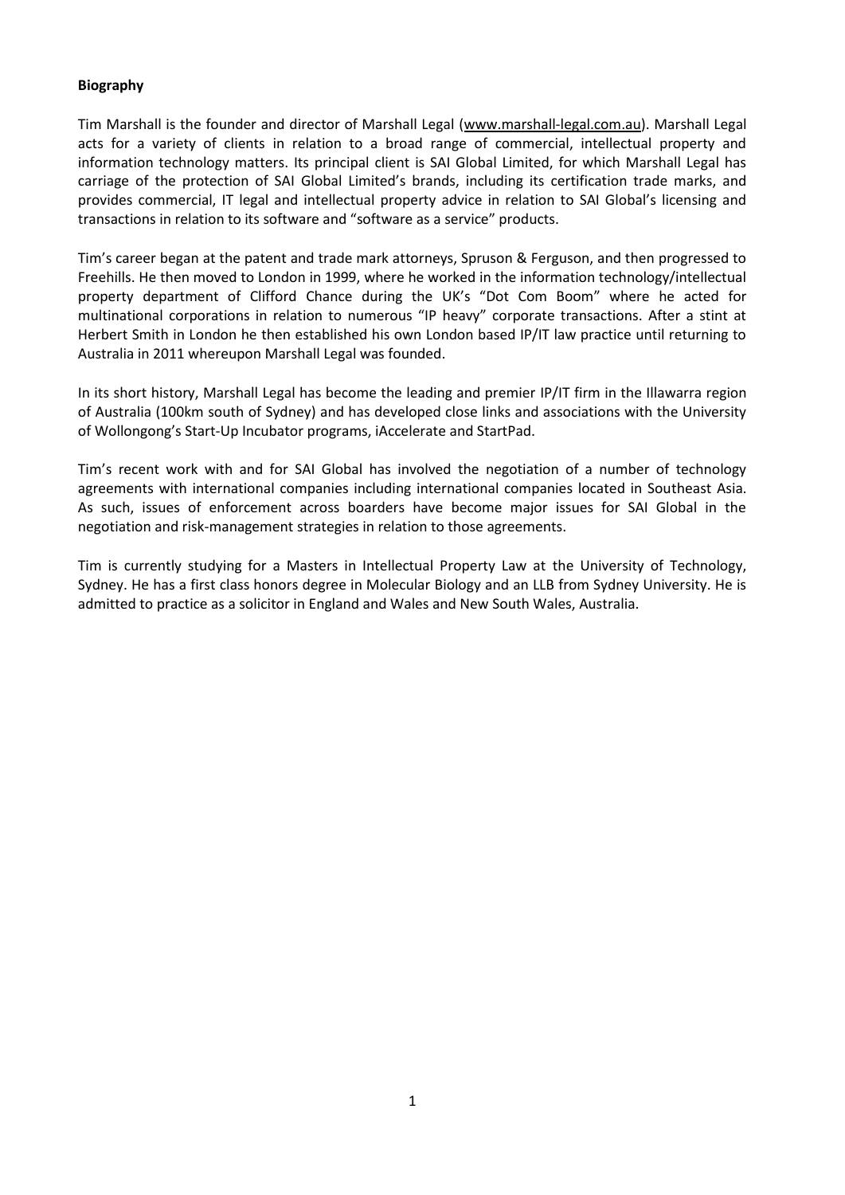# <span id="page-1-0"></span>**Biography**

Tim Marshall is the founder and director of Marshall Legal [\(www.marshall-legal.com.au\)](http://www.marshall-legal.com.au/). Marshall Legal acts for a variety of clients in relation to a broad range of commercial, intellectual property and information technology matters. Its principal client is SAI Global Limited, for which Marshall Legal has carriage of the protection of SAI Global Limited's brands, including its certification trade marks, and provides commercial, IT legal and intellectual property advice in relation to SAI Global's licensing and transactions in relation to its software and "software as a service" products.

Tim's career began at the patent and trade mark attorneys, Spruson & Ferguson, and then progressed to Freehills. He then moved to London in 1999, where he worked in the information technology/intellectual property department of Clifford Chance during the UK's "Dot Com Boom" where he acted for multinational corporations in relation to numerous "IP heavy" corporate transactions. After a stint at Herbert Smith in London he then established his own London based IP/IT law practice until returning to Australia in 2011 whereupon Marshall Legal was founded.

In its short history, Marshall Legal has become the leading and premier IP/IT firm in the Illawarra region of Australia (100km south of Sydney) and has developed close links and associations with the University of Wollongong's Start-Up Incubator programs, iAccelerate and StartPad.

Tim's recent work with and for SAI Global has involved the negotiation of a number of technology agreements with international companies including international companies located in Southeast Asia. As such, issues of enforcement across boarders have become major issues for SAI Global in the negotiation and risk-management strategies in relation to those agreements.

Tim is currently studying for a Masters in Intellectual Property Law at the University of Technology, Sydney. He has a first class honors degree in Molecular Biology and an LLB from Sydney University. He is admitted to practice as a solicitor in England and Wales and New South Wales, Australia.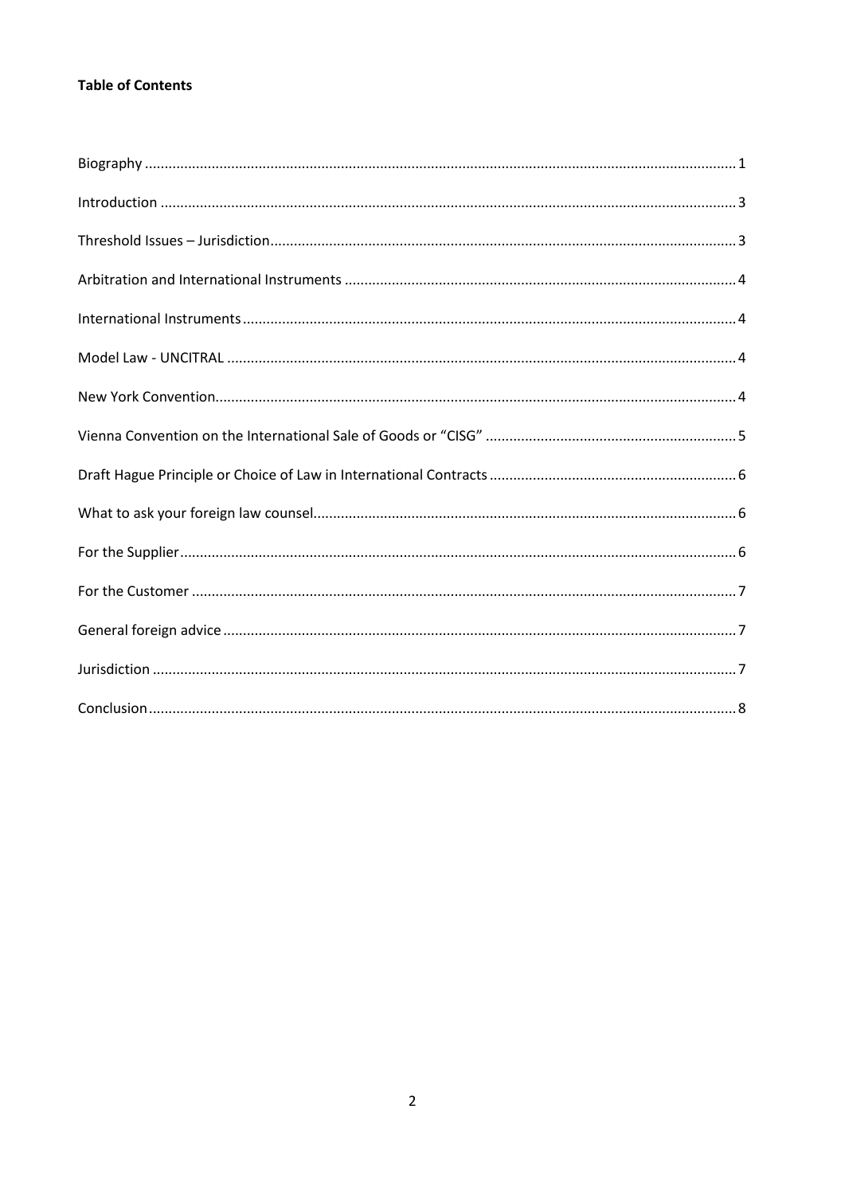# **Table of Contents**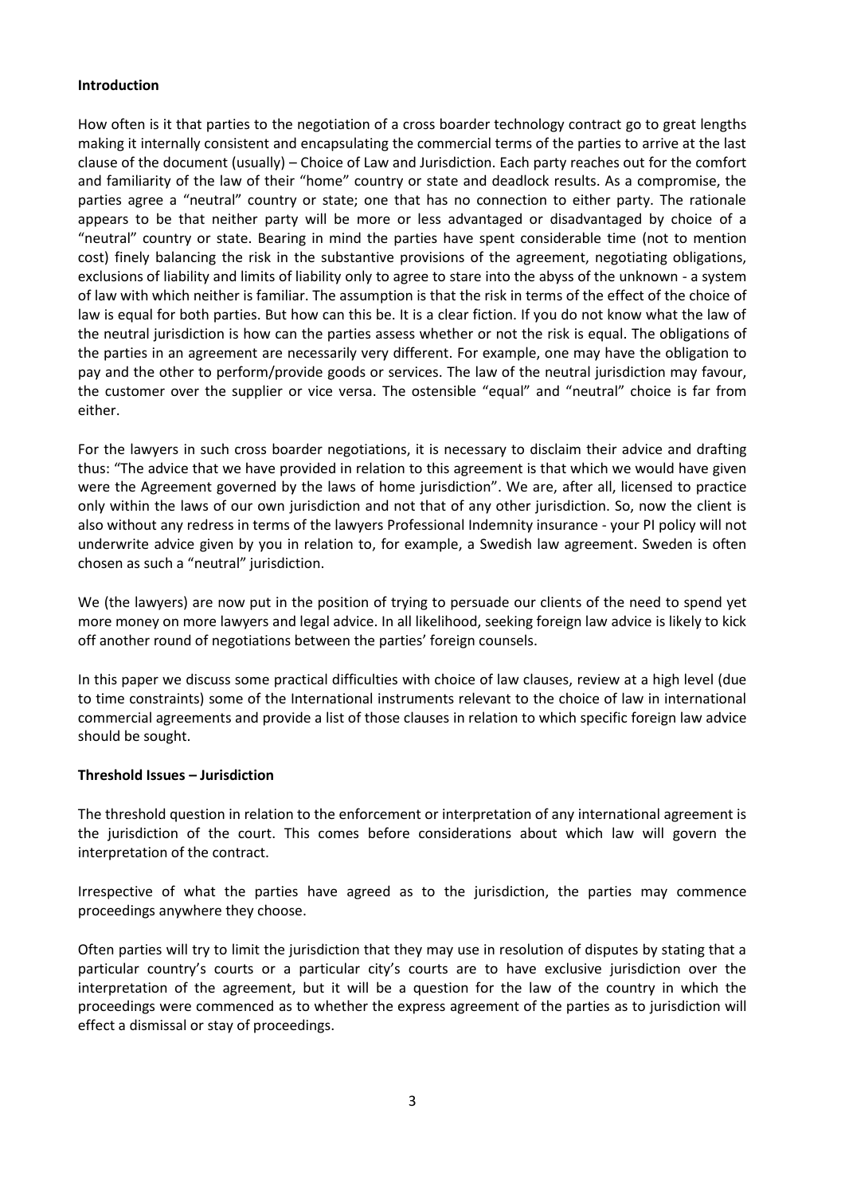#### <span id="page-3-0"></span>**Introduction**

How often is it that parties to the negotiation of a cross boarder technology contract go to great lengths making it internally consistent and encapsulating the commercial terms of the parties to arrive at the last clause of the document (usually) – Choice of Law and Jurisdiction. Each party reaches out for the comfort and familiarity of the law of their "home" country or state and deadlock results. As a compromise, the parties agree a "neutral" country or state; one that has no connection to either party. The rationale appears to be that neither party will be more or less advantaged or disadvantaged by choice of a "neutral" country or state. Bearing in mind the parties have spent considerable time (not to mention cost) finely balancing the risk in the substantive provisions of the agreement, negotiating obligations, exclusions of liability and limits of liability only to agree to stare into the abyss of the unknown - a system of law with which neither is familiar. The assumption is that the risk in terms of the effect of the choice of law is equal for both parties. But how can this be. It is a clear fiction. If you do not know what the law of the neutral jurisdiction is how can the parties assess whether or not the risk is equal. The obligations of the parties in an agreement are necessarily very different. For example, one may have the obligation to pay and the other to perform/provide goods or services. The law of the neutral jurisdiction may favour, the customer over the supplier or vice versa. The ostensible "equal" and "neutral" choice is far from either.

For the lawyers in such cross boarder negotiations, it is necessary to disclaim their advice and drafting thus: "The advice that we have provided in relation to this agreement is that which we would have given were the Agreement governed by the laws of home jurisdiction". We are, after all, licensed to practice only within the laws of our own jurisdiction and not that of any other jurisdiction. So, now the client is also without any redress in terms of the lawyers Professional Indemnity insurance - your PI policy will not underwrite advice given by you in relation to, for example, a Swedish law agreement. Sweden is often chosen as such a "neutral" jurisdiction.

We (the lawyers) are now put in the position of trying to persuade our clients of the need to spend yet more money on more lawyers and legal advice. In all likelihood, seeking foreign law advice is likely to kick off another round of negotiations between the parties' foreign counsels.

In this paper we discuss some practical difficulties with choice of law clauses, review at a high level (due to time constraints) some of the International instruments relevant to the choice of law in international commercial agreements and provide a list of those clauses in relation to which specific foreign law advice should be sought.

## <span id="page-3-1"></span>**Threshold Issues – Jurisdiction**

The threshold question in relation to the enforcement or interpretation of any international agreement is the jurisdiction of the court. This comes before considerations about which law will govern the interpretation of the contract.

Irrespective of what the parties have agreed as to the jurisdiction, the parties may commence proceedings anywhere they choose.

Often parties will try to limit the jurisdiction that they may use in resolution of disputes by stating that a particular country's courts or a particular city's courts are to have exclusive jurisdiction over the interpretation of the agreement, but it will be a question for the law of the country in which the proceedings were commenced as to whether the express agreement of the parties as to jurisdiction will effect a dismissal or stay of proceedings.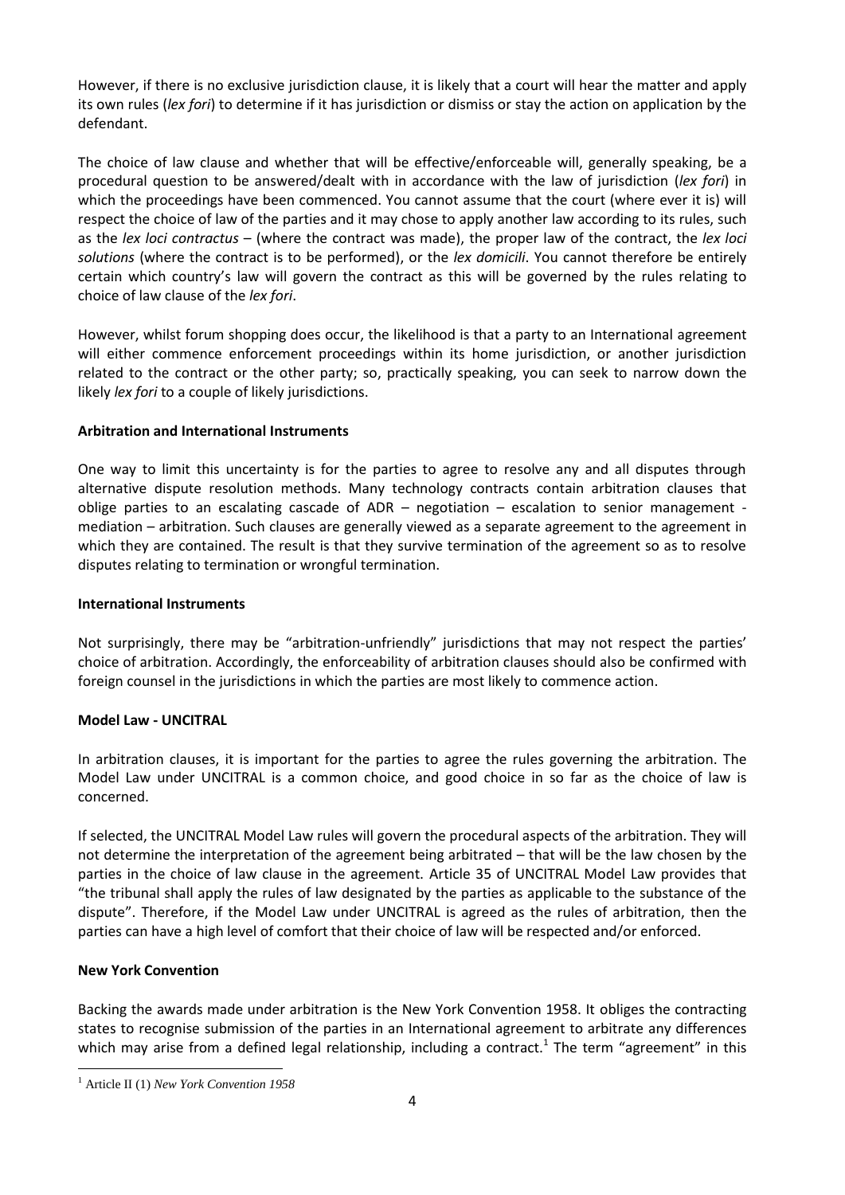However, if there is no exclusive jurisdiction clause, it is likely that a court will hear the matter and apply its own rules (*lex fori*) to determine if it has jurisdiction or dismiss or stay the action on application by the defendant.

The choice of law clause and whether that will be effective/enforceable will, generally speaking, be a procedural question to be answered/dealt with in accordance with the law of jurisdiction (*lex fori*) in which the proceedings have been commenced. You cannot assume that the court (where ever it is) will respect the choice of law of the parties and it may chose to apply another law according to its rules, such as the *lex loci contractus* – (where the contract was made), the proper law of the contract, the *lex loci solutions* (where the contract is to be performed), or the *lex domicili*. You cannot therefore be entirely certain which country's law will govern the contract as this will be governed by the rules relating to choice of law clause of the *lex fori*.

However, whilst forum shopping does occur, the likelihood is that a party to an International agreement will either commence enforcement proceedings within its home jurisdiction, or another jurisdiction related to the contract or the other party; so, practically speaking, you can seek to narrow down the likely *lex fori* to a couple of likely jurisdictions.

# <span id="page-4-0"></span>**Arbitration and International Instruments**

One way to limit this uncertainty is for the parties to agree to resolve any and all disputes through alternative dispute resolution methods. Many technology contracts contain arbitration clauses that oblige parties to an escalating cascade of ADR – negotiation – escalation to senior management mediation – arbitration. Such clauses are generally viewed as a separate agreement to the agreement in which they are contained. The result is that they survive termination of the agreement so as to resolve disputes relating to termination or wrongful termination.

## <span id="page-4-1"></span>**International Instruments**

Not surprisingly, there may be "arbitration-unfriendly" jurisdictions that may not respect the parties' choice of arbitration. Accordingly, the enforceability of arbitration clauses should also be confirmed with foreign counsel in the jurisdictions in which the parties are most likely to commence action.

## <span id="page-4-2"></span>**Model Law - UNCITRAL**

In arbitration clauses, it is important for the parties to agree the rules governing the arbitration. The Model Law under UNCITRAL is a common choice, and good choice in so far as the choice of law is concerned.

If selected, the UNCITRAL Model Law rules will govern the procedural aspects of the arbitration. They will not determine the interpretation of the agreement being arbitrated – that will be the law chosen by the parties in the choice of law clause in the agreement. Article 35 of UNCITRAL Model Law provides that "the tribunal shall apply the rules of law designated by the parties as applicable to the substance of the dispute". Therefore, if the Model Law under UNCITRAL is agreed as the rules of arbitration, then the parties can have a high level of comfort that their choice of law will be respected and/or enforced.

## <span id="page-4-3"></span>**New York Convention**

 $\overline{a}$ 

Backing the awards made under arbitration is the New York Convention 1958. It obliges the contracting states to recognise submission of the parties in an International agreement to arbitrate any differences which may arise from a defined legal relationship, including a contract.<sup>1</sup> The term "agreement" in this

<sup>1</sup> Article II (1) *New York Convention 1958*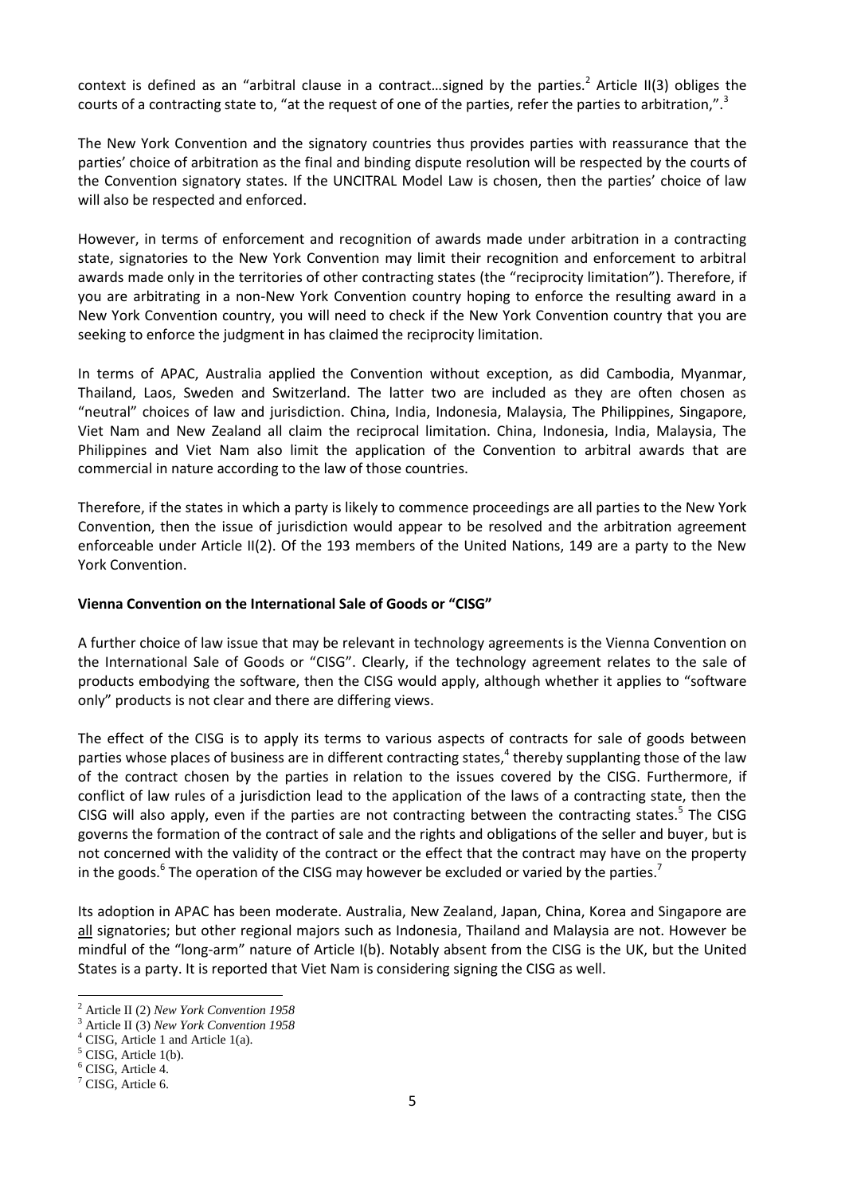context is defined as an "arbitral clause in a contract...signed by the parties.<sup>2</sup> Article II(3) obliges the courts of a contracting state to, "at the request of one of the parties, refer the parties to arbitration,".<sup>3</sup>

The New York Convention and the signatory countries thus provides parties with reassurance that the parties' choice of arbitration as the final and binding dispute resolution will be respected by the courts of the Convention signatory states. If the UNCITRAL Model Law is chosen, then the parties' choice of law will also be respected and enforced.

However, in terms of enforcement and recognition of awards made under arbitration in a contracting state, signatories to the New York Convention may limit their recognition and enforcement to arbitral awards made only in the territories of other contracting states (the "reciprocity limitation"). Therefore, if you are arbitrating in a non-New York Convention country hoping to enforce the resulting award in a New York Convention country, you will need to check if the New York Convention country that you are seeking to enforce the judgment in has claimed the reciprocity limitation.

In terms of APAC, Australia applied the Convention without exception, as did Cambodia, Myanmar, Thailand, Laos, Sweden and Switzerland. The latter two are included as they are often chosen as "neutral" choices of law and jurisdiction. China, India, Indonesia, Malaysia, The Philippines, Singapore, Viet Nam and New Zealand all claim the reciprocal limitation. China, Indonesia, India, Malaysia, The Philippines and Viet Nam also limit the application of the Convention to arbitral awards that are commercial in nature according to the law of those countries.

Therefore, if the states in which a party is likely to commence proceedings are all parties to the New York Convention, then the issue of jurisdiction would appear to be resolved and the arbitration agreement enforceable under Article II(2). Of the 193 members of the United Nations, 149 are a party to the New York Convention.

## <span id="page-5-0"></span>**Vienna Convention on the International Sale of Goods or "CISG"**

A further choice of law issue that may be relevant in technology agreements is the Vienna Convention on the International Sale of Goods or "CISG". Clearly, if the technology agreement relates to the sale of products embodying the software, then the CISG would apply, although whether it applies to "software only" products is not clear and there are differing views.

The effect of the CISG is to apply its terms to various aspects of contracts for sale of goods between parties whose places of business are in different contracting states,<sup>4</sup> thereby supplanting those of the law of the contract chosen by the parties in relation to the issues covered by the CISG. Furthermore, if conflict of law rules of a jurisdiction lead to the application of the laws of a contracting state, then the CISG will also apply, even if the parties are not contracting between the contracting states.<sup>5</sup> The CISG governs the formation of the contract of sale and the rights and obligations of the seller and buyer, but is not concerned with the validity of the contract or the effect that the contract may have on the property in the goods.<sup>6</sup> The operation of the CISG may however be excluded or varied by the parties.<sup>7</sup>

Its adoption in APAC has been moderate. Australia, New Zealand, Japan, China, Korea and Singapore are all signatories; but other regional majors such as Indonesia, Thailand and Malaysia are not. However be mindful of the "long-arm" nature of Article I(b). Notably absent from the CISG is the UK, but the United States is a party. It is reported that Viet Nam is considering signing the CISG as well.

 $\overline{a}$ <sup>2</sup> Article II (2) *New York Convention 1958*

<sup>3</sup> Article II (3) *New York Convention 1958*

<sup>4</sup> CISG, Article 1 and Article 1(a).

 $<sup>5</sup>$  CISG, Article 1(b).</sup>

<sup>6</sup> CISG, Article 4.

 $<sup>7</sup>$  CISG. Article 6.</sup>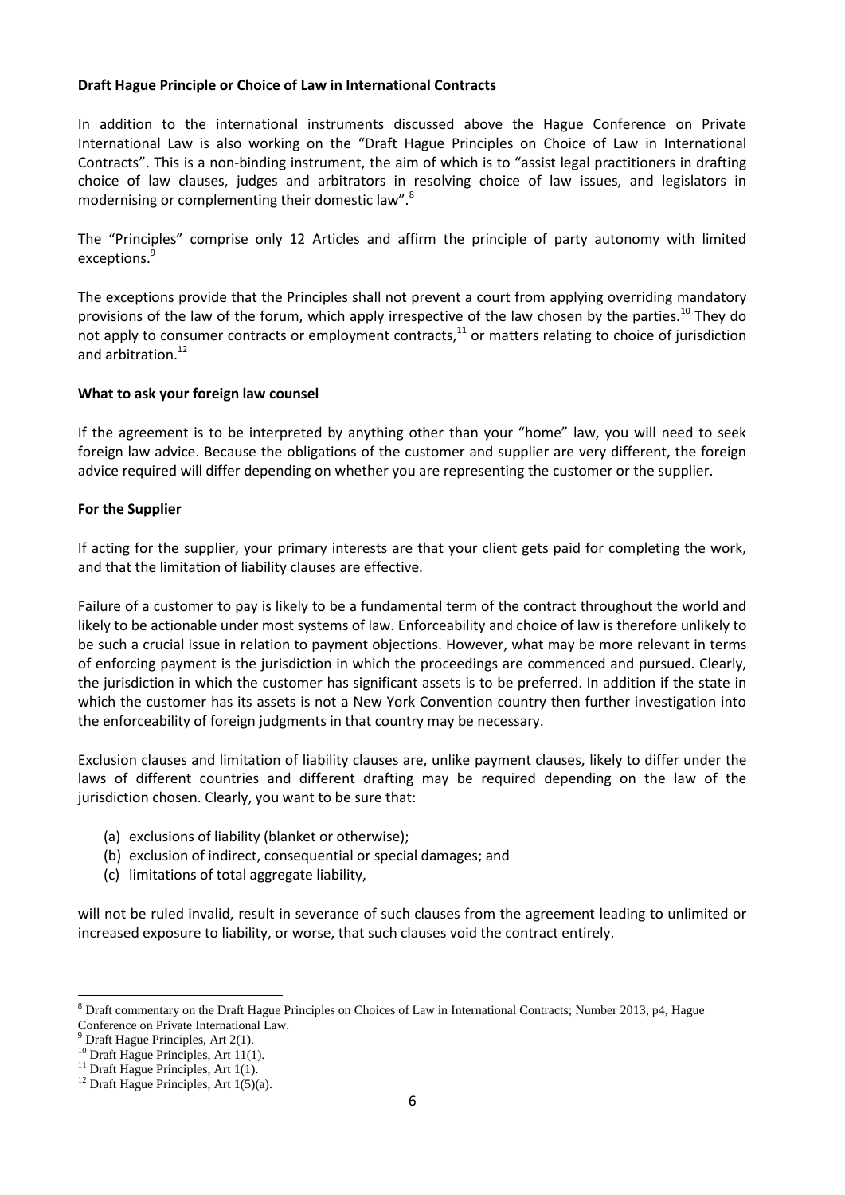## <span id="page-6-0"></span>**Draft Hague Principle or Choice of Law in International Contracts**

In addition to the international instruments discussed above the Hague Conference on Private International Law is also working on the "Draft Hague Principles on Choice of Law in International Contracts". This is a non-binding instrument, the aim of which is to "assist legal practitioners in drafting choice of law clauses, judges and arbitrators in resolving choice of law issues, and legislators in modernising or complementing their domestic law".<sup>8</sup>

The "Principles" comprise only 12 Articles and affirm the principle of party autonomy with limited exceptions.<sup>9</sup>

The exceptions provide that the Principles shall not prevent a court from applying overriding mandatory provisions of the law of the forum, which apply irrespective of the law chosen by the parties.<sup>10</sup> They do not apply to consumer contracts or employment contracts, $11$  or matters relating to choice of jurisdiction and arbitration.<sup>12</sup>

#### <span id="page-6-1"></span>**What to ask your foreign law counsel**

If the agreement is to be interpreted by anything other than your "home" law, you will need to seek foreign law advice. Because the obligations of the customer and supplier are very different, the foreign advice required will differ depending on whether you are representing the customer or the supplier.

#### <span id="page-6-2"></span>**For the Supplier**

If acting for the supplier, your primary interests are that your client gets paid for completing the work, and that the limitation of liability clauses are effective.

Failure of a customer to pay is likely to be a fundamental term of the contract throughout the world and likely to be actionable under most systems of law. Enforceability and choice of law is therefore unlikely to be such a crucial issue in relation to payment objections. However, what may be more relevant in terms of enforcing payment is the jurisdiction in which the proceedings are commenced and pursued. Clearly, the jurisdiction in which the customer has significant assets is to be preferred. In addition if the state in which the customer has its assets is not a New York Convention country then further investigation into the enforceability of foreign judgments in that country may be necessary.

Exclusion clauses and limitation of liability clauses are, unlike payment clauses, likely to differ under the laws of different countries and different drafting may be required depending on the law of the jurisdiction chosen. Clearly, you want to be sure that:

- (a) exclusions of liability (blanket or otherwise);
- (b) exclusion of indirect, consequential or special damages; and
- (c) limitations of total aggregate liability,

will not be ruled invalid, result in severance of such clauses from the agreement leading to unlimited or increased exposure to liability, or worse, that such clauses void the contract entirely.

 $\overline{a}$ 

<sup>8</sup> Draft commentary on the Draft Hague Principles on Choices of Law in International Contracts; Number 2013, p4, Hague Conference on Private International Law.

 $9$  Draft Hague Principles, Art 2(1).

 $10$  Draft Hague Principles, Art 11(1).

 $11$  Draft Hague Principles, Art 1(1).

<sup>&</sup>lt;sup>12</sup> Draft Hague Principles, Art  $1(5)(a)$ .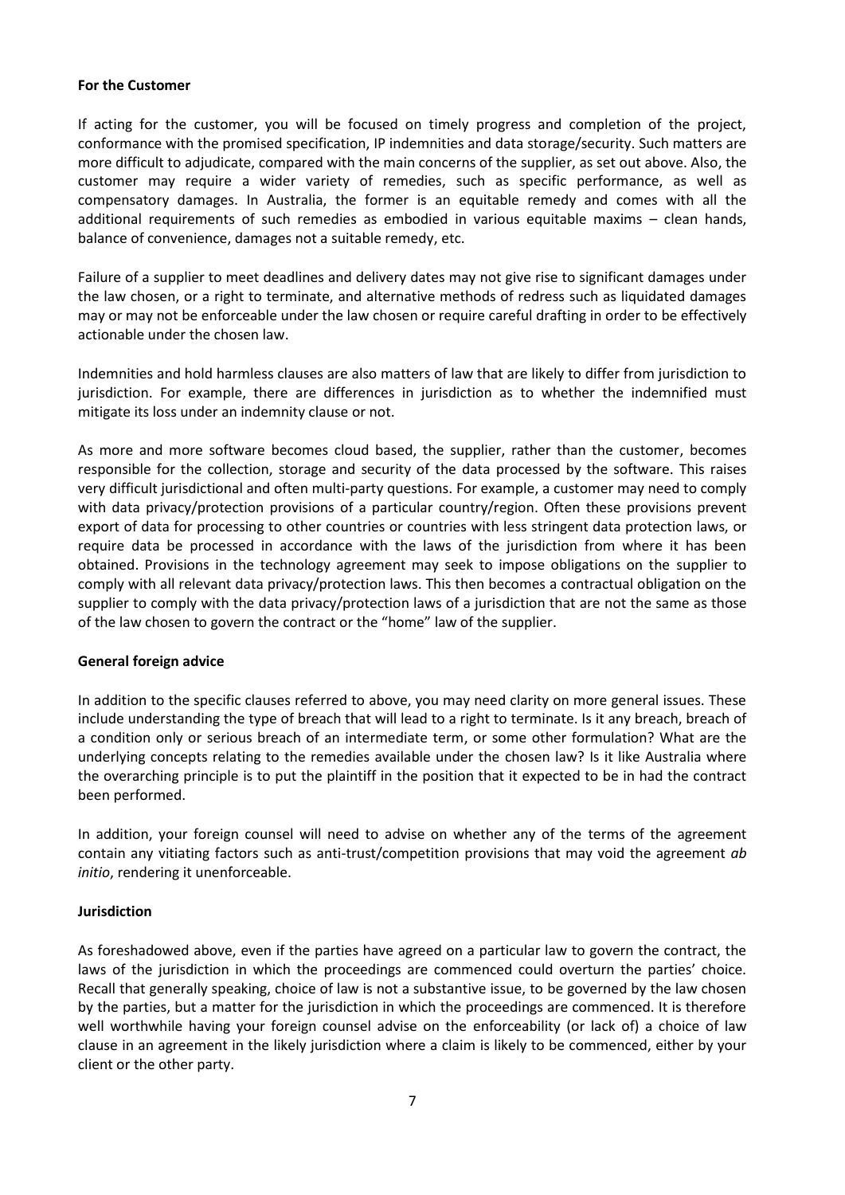#### <span id="page-7-0"></span>**For the Customer**

If acting for the customer, you will be focused on timely progress and completion of the project, conformance with the promised specification, IP indemnities and data storage/security. Such matters are more difficult to adjudicate, compared with the main concerns of the supplier, as set out above. Also, the customer may require a wider variety of remedies, such as specific performance, as well as compensatory damages. In Australia, the former is an equitable remedy and comes with all the additional requirements of such remedies as embodied in various equitable maxims – clean hands, balance of convenience, damages not a suitable remedy, etc.

Failure of a supplier to meet deadlines and delivery dates may not give rise to significant damages under the law chosen, or a right to terminate, and alternative methods of redress such as liquidated damages may or may not be enforceable under the law chosen or require careful drafting in order to be effectively actionable under the chosen law.

Indemnities and hold harmless clauses are also matters of law that are likely to differ from jurisdiction to jurisdiction. For example, there are differences in jurisdiction as to whether the indemnified must mitigate its loss under an indemnity clause or not.

As more and more software becomes cloud based, the supplier, rather than the customer, becomes responsible for the collection, storage and security of the data processed by the software. This raises very difficult jurisdictional and often multi-party questions. For example, a customer may need to comply with data privacy/protection provisions of a particular country/region. Often these provisions prevent export of data for processing to other countries or countries with less stringent data protection laws, or require data be processed in accordance with the laws of the jurisdiction from where it has been obtained. Provisions in the technology agreement may seek to impose obligations on the supplier to comply with all relevant data privacy/protection laws. This then becomes a contractual obligation on the supplier to comply with the data privacy/protection laws of a jurisdiction that are not the same as those of the law chosen to govern the contract or the "home" law of the supplier.

## <span id="page-7-1"></span>**General foreign advice**

In addition to the specific clauses referred to above, you may need clarity on more general issues. These include understanding the type of breach that will lead to a right to terminate. Is it any breach, breach of a condition only or serious breach of an intermediate term, or some other formulation? What are the underlying concepts relating to the remedies available under the chosen law? Is it like Australia where the overarching principle is to put the plaintiff in the position that it expected to be in had the contract been performed.

In addition, your foreign counsel will need to advise on whether any of the terms of the agreement contain any vitiating factors such as anti-trust/competition provisions that may void the agreement *ab initio*, rendering it unenforceable.

## <span id="page-7-2"></span>**Jurisdiction**

As foreshadowed above, even if the parties have agreed on a particular law to govern the contract, the laws of the jurisdiction in which the proceedings are commenced could overturn the parties' choice. Recall that generally speaking, choice of law is not a substantive issue, to be governed by the law chosen by the parties, but a matter for the jurisdiction in which the proceedings are commenced. It is therefore well worthwhile having your foreign counsel advise on the enforceability (or lack of) a choice of law clause in an agreement in the likely jurisdiction where a claim is likely to be commenced, either by your client or the other party.